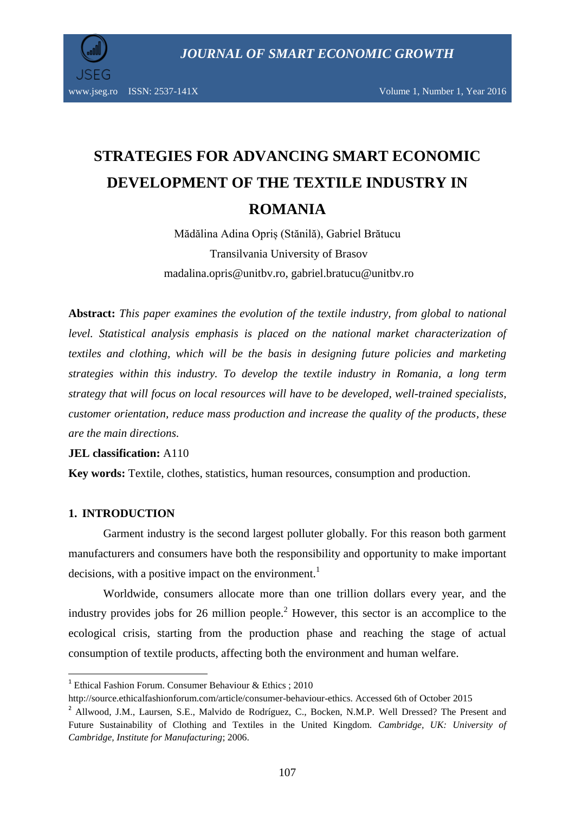

www.jseg.ro ISSN:  $2537-141X$  Volume 1, Number 1, Year 2016

# **STRATEGIES FOR ADVANCING SMART ECONOMIC DEVELOPMENT OF THE TEXTILE INDUSTRY IN ROMANIA**

Mădălina Adina Opriș (Stănilă), Gabriel Brătucu Transilvania University of Brasov madalina.opris@unitbv.ro, gabriel.bratucu@unitbv.ro

**Abstract:** *This paper examines the evolution of the textile industry, from global to national level. Statistical analysis emphasis is placed on the national market characterization of textiles and clothing, which will be the basis in designing future policies and marketing strategies within this industry. To develop the textile industry in Romania, a long term strategy that will focus on local resources will have to be developed, well-trained specialists, customer orientation, reduce mass production and increase the quality of the products, these are the main directions.*

## **JEL classification:** A110

**Key words:** Textile, clothes, statistics, human resources, consumption and production.

# **1. INTRODUCTION**

 $\overline{\phantom{a}}$ 

Garment industry is the second largest polluter globally. For this reason both garment manufacturers and consumers have both the responsibility and opportunity to make important decisions, with a positive impact on the environment.<sup>1</sup>

Worldwide, consumers allocate more than one trillion dollars every year, and the industry provides jobs for 26 million people.<sup>2</sup> However, this sector is an accomplice to the ecological crisis, starting from the production phase and reaching the stage of actual consumption of textile products, affecting both the environment and human welfare.

<sup>&</sup>lt;sup>1</sup> Ethical Fashion Forum. Consumer Behaviour & Ethics ; 2010

http://source.ethicalfashionforum.com/article/consumer-behaviour-ethics. Accessed 6th of October 2015

<sup>&</sup>lt;sup>2</sup> Allwood, J.M., Laursen, S.E., Malvido de Rodríguez, C., Bocken, N.M.P. Well Dressed? The Present and Future Sustainability of Clothing and Textiles in the United Kingdom. *Cambridge, UK: University of Cambridge, Institute for Manufacturing*; 2006.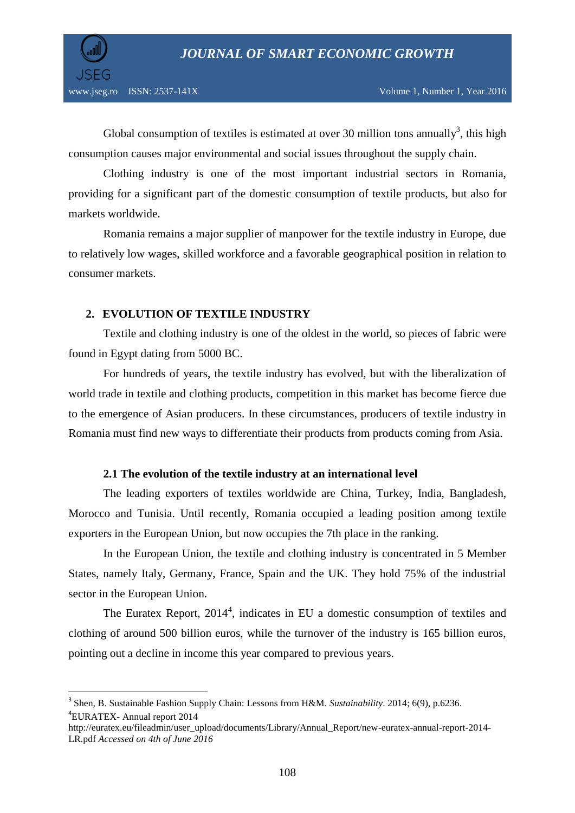

 $\overline{a}$ 

Global consumption of textiles is estimated at over 30 million tons annually<sup>3</sup>, this high consumption causes major environmental and social issues throughout the supply chain.

Clothing industry is one of the most important industrial sectors in Romania, providing for a significant part of the domestic consumption of textile products, but also for markets worldwide.

Romania remains a major supplier of manpower for the textile industry in Europe, due to relatively low wages, skilled workforce and a favorable geographical position in relation to consumer markets.

# **2. EVOLUTION OF TEXTILE INDUSTRY**

Textile and clothing industry is one of the oldest in the world, so pieces of fabric were found in Egypt dating from 5000 BC.

For hundreds of years, the textile industry has evolved, but with the liberalization of world trade in textile and clothing products, competition in this market has become fierce due to the emergence of Asian producers. In these circumstances, producers of textile industry in Romania must find new ways to differentiate their products from products coming from Asia.

## **2.1 The evolution of the textile industry at an international level**

The leading exporters of textiles worldwide are China, Turkey, India, Bangladesh, Morocco and Tunisia. Until recently, Romania occupied a leading position among textile exporters in the European Union, but now occupies the 7th place in the ranking.

In the European Union, the textile and clothing industry is concentrated in 5 Member States, namely Italy, Germany, France, Spain and the UK. They hold 75% of the industrial sector in the European Union.

The Euratex Report,  $2014^4$ , indicates in EU a domestic consumption of textiles and clothing of around 500 billion euros, while the turnover of the industry is 165 billion euros, pointing out a decline in income this year compared to previous years.

<sup>3</sup> Shen, B. Sustainable Fashion Supply Chain: Lessons from H&M. *Sustainability*. 2014; 6(9), p.6236. 4 EURATEX- Annual report 2014

[http://euratex.eu/fileadmin/user\\_upload/documents/Library/Annual\\_Report/new-euratex-annual-report-2014-](http://euratex.eu/fileadmin/user_upload/documents/Library/Annual_Report/new-euratex-annual-report-2014-LR.pdf%20Accessed%20on%204th%20of%20June%202016) LR.pdf *[Accessed on 4th of June 2016](http://euratex.eu/fileadmin/user_upload/documents/Library/Annual_Report/new-euratex-annual-report-2014-LR.pdf%20Accessed%20on%204th%20of%20June%202016)*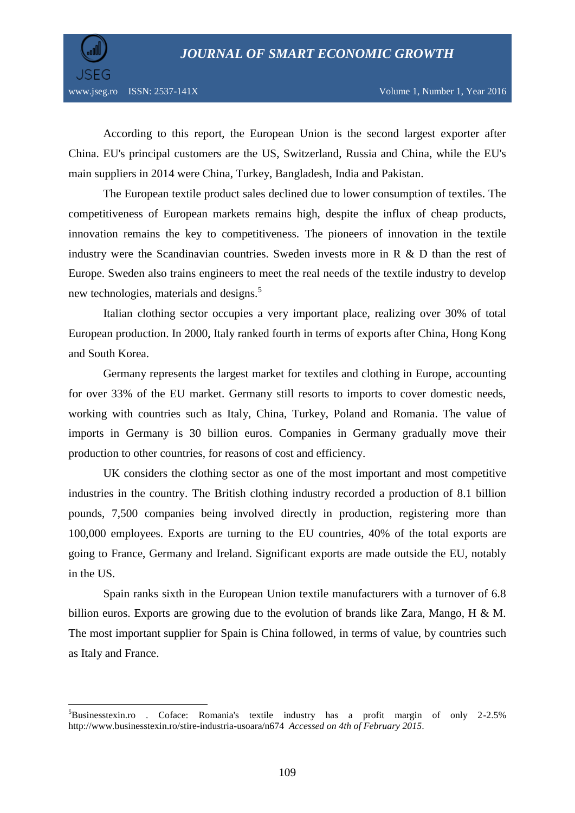

 $\overline{\phantom{a}}$ 

According to this report, the European Union is the second largest exporter after China. EU's principal customers are the US, Switzerland, Russia and China, while the EU's main suppliers in 2014 were China, Turkey, Bangladesh, India and Pakistan.

The European textile product sales declined due to lower consumption of textiles. The competitiveness of European markets remains high, despite the influx of cheap products, innovation remains the key to competitiveness. The pioneers of innovation in the textile industry were the Scandinavian countries. Sweden invests more in R & D than the rest of Europe. Sweden also trains engineers to meet the real needs of the textile industry to develop new technologies, materials and designs.<sup>5</sup>

Italian clothing sector occupies a very important place, realizing over 30% of total European production. In 2000, Italy ranked fourth in terms of exports after China, Hong Kong and South Korea.

Germany represents the largest market for textiles and clothing in Europe, accounting for over 33% of the EU market. Germany still resorts to imports to cover domestic needs, working with countries such as Italy, China, Turkey, Poland and Romania. The value of imports in Germany is 30 billion euros. Companies in Germany gradually move their production to other countries, for reasons of cost and efficiency.

UK considers the clothing sector as one of the most important and most competitive industries in the country. The British clothing industry recorded a production of 8.1 billion pounds, 7,500 companies being involved directly in production, registering more than 100,000 employees. Exports are turning to the EU countries, 40% of the total exports are going to France, Germany and Ireland. Significant exports are made outside the EU, notably in the US.

Spain ranks sixth in the European Union textile manufacturers with a turnover of 6.8 billion euros. Exports are growing due to the evolution of brands like Zara, Mango, H & M. The most important supplier for Spain is China followed, in terms of value, by countries such as Italy and France.

 ${}^{5}$ Businesstexin.ro . Coface: Romania's textile industry has a profit margin of only 2-2.5% [http://www.businesstexin.ro/stire-industria-usoara/n674](http://www.businesstexin.ro/stire-industria-usoara/n674%20%20Accessed%20on%204th%20of%20February%202015) *Accessed on 4th of February 2015*.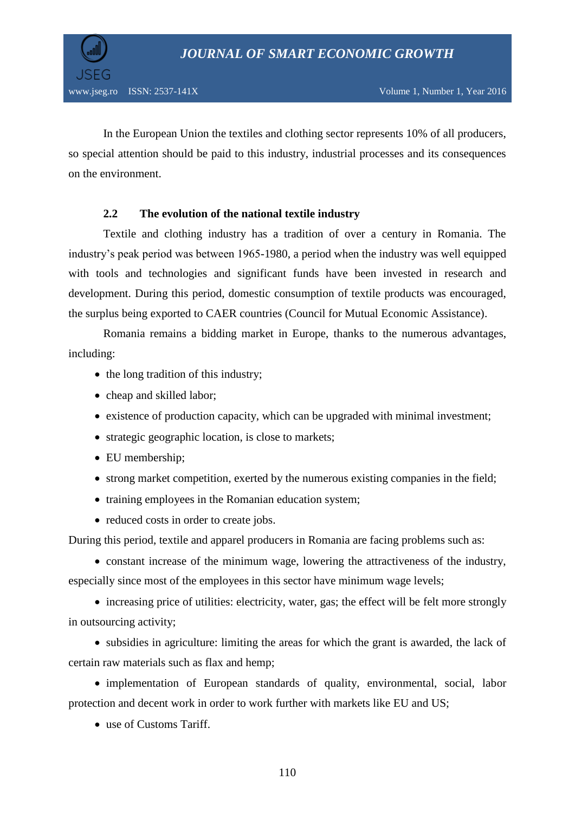

In the European Union the textiles and clothing sector represents 10% of all producers, so special attention should be paid to this industry, industrial processes and its consequences on the environment.

# **2.2 The evolution of the national textile industry**

Textile and clothing industry has a tradition of over a century in Romania. The industry's peak period was between 1965-1980, a period when the industry was well equipped with tools and technologies and significant funds have been invested in research and development. During this period, domestic consumption of textile products was encouraged, the surplus being exported to CAER countries (Council for Mutual Economic Assistance).

Romania remains a bidding market in Europe, thanks to the numerous advantages, including:

- the long tradition of this industry;
- cheap and skilled labor;
- existence of production capacity, which can be upgraded with minimal investment;
- strategic geographic location, is close to markets;
- EU membership;
- strong market competition, exerted by the numerous existing companies in the field;
- training employees in the Romanian education system;
- reduced costs in order to create jobs.

During this period, textile and apparel producers in Romania are facing problems such as:

 constant increase of the minimum wage, lowering the attractiveness of the industry, especially since most of the employees in this sector have minimum wage levels;

• increasing price of utilities: electricity, water, gas; the effect will be felt more strongly in outsourcing activity;

• subsidies in agriculture: limiting the areas for which the grant is awarded, the lack of certain raw materials such as flax and hemp;

• implementation of European standards of quality, environmental, social, labor protection and decent work in order to work further with markets like EU and US;

use of Customs Tariff.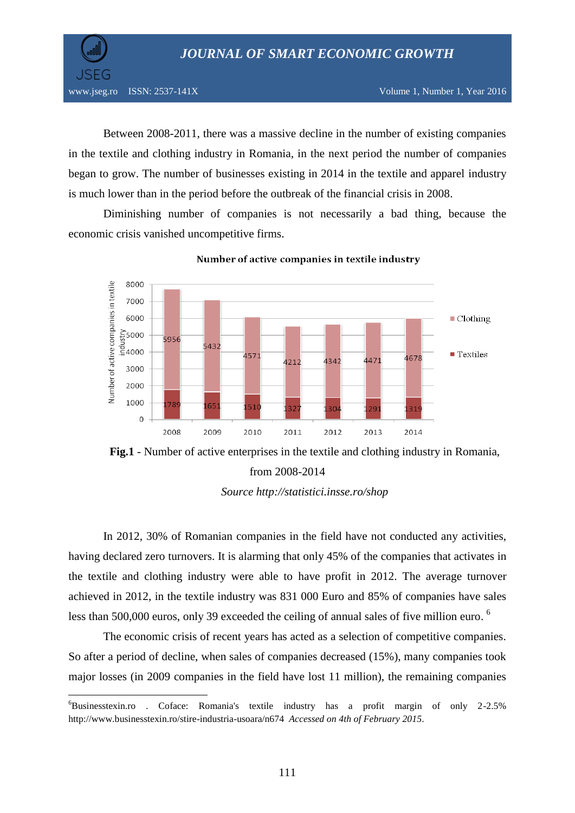*JOURNAL OF SMART ECONOMIC GROWTH*



 $\overline{\phantom{a}}$ 

Between 2008-2011, there was a massive decline in the number of existing companies in the textile and clothing industry in Romania, in the next period the number of companies began to grow. The number of businesses existing in 2014 in the textile and apparel industry is much lower than in the period before the outbreak of the financial crisis in 2008.

Diminishing number of companies is not necessarily a bad thing, because the economic crisis vanished uncompetitive firms.



Number of active companies in textile industry

*Source<http://statistici.insse.ro/shop>*

In 2012, 30% of Romanian companies in the field have not conducted any activities, having declared zero turnovers. It is alarming that only 45% of the companies that activates in the textile and clothing industry were able to have profit in 2012. The average turnover achieved in 2012, in the textile industry was 831 000 Euro and 85% of companies have sales less than 500,000 euros, only 39 exceeded the ceiling of annual sales of five million euro.  $^6$ 

The economic crisis of recent years has acted as a selection of competitive companies. So after a period of decline, when sales of companies decreased (15%), many companies took major losses (in 2009 companies in the field have lost 11 million), the remaining companies

**Fig.1** - Number of active enterprises in the textile and clothing industry in Romania, from 2008-2014

 $6B$ usinesstexin.ro . Coface: Romania's textile industry has a profit margin of only 2-2.5% [http://www.businesstexin.ro/stire-industria-usoara/n674](http://www.businesstexin.ro/stire-industria-usoara/n674%20%20Accessed%20on%204th%20of%20February%202015) *Accessed on 4th of February 2015*.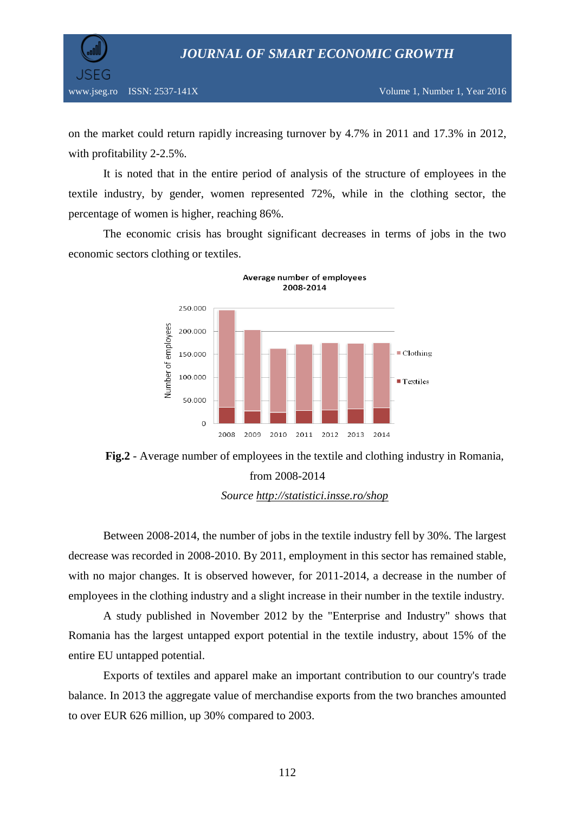



on the market could return rapidly increasing turnover by 4.7% in 2011 and 17.3% in 2012, with profitability 2-2.5%.

It is noted that in the entire period of analysis of the structure of employees in the textile industry, by gender, women represented 72%, while in the clothing sector, the percentage of women is higher, reaching 86%.

The economic crisis has brought significant decreases in terms of jobs in the two economic sectors clothing or textiles.



**Fig.2** - Average number of employees in the textile and clothing industry in Romania, from 2008-2014 *Source<http://statistici.insse.ro/shop>*

Between 2008-2014, the number of jobs in the textile industry fell by 30%. The largest decrease was recorded in 2008-2010. By 2011, employment in this sector has remained stable, with no major changes. It is observed however, for 2011-2014, a decrease in the number of employees in the clothing industry and a slight increase in their number in the textile industry.

A study published in November 2012 by the "Enterprise and Industry" shows that Romania has the largest untapped export potential in the textile industry, about 15% of the entire EU untapped potential.

Exports of textiles and apparel make an important contribution to our country's trade balance. In 2013 the aggregate value of merchandise exports from the two branches amounted to over EUR 626 million, up 30% compared to 2003.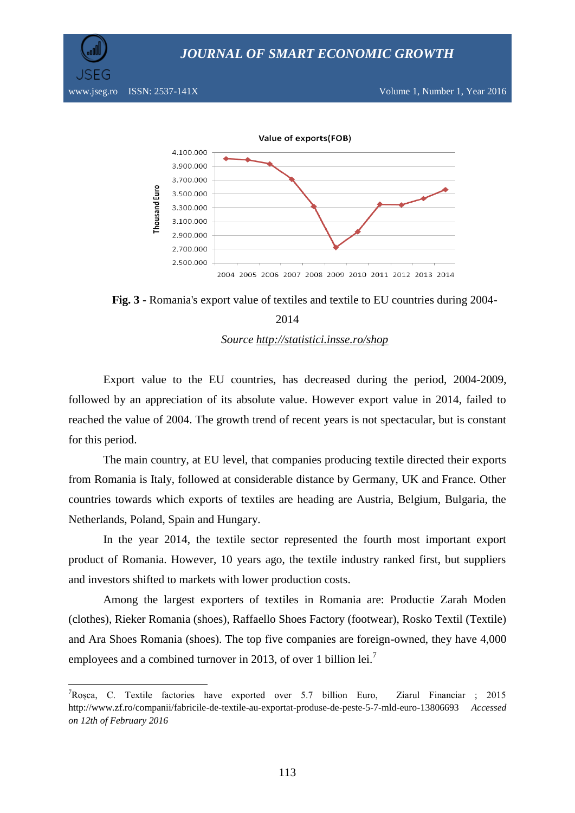



**Fig. 3 -** Romania's export value of textiles and textile to EU countries during 2004-

# 2014 *Source<http://statistici.insse.ro/shop>*

Export value to the EU countries, has decreased during the period, 2004-2009, followed by an appreciation of its absolute value. However export value in 2014, failed to reached the value of 2004. The growth trend of recent years is not spectacular, but is constant for this period.

The main country, at EU level, that companies producing textile directed their exports from Romania is Italy, followed at considerable distance by Germany, UK and France. Other countries towards which exports of textiles are heading are Austria, Belgium, Bulgaria, the Netherlands, Poland, Spain and Hungary.

In the year 2014, the textile sector represented the fourth most important export product of Romania. However, 10 years ago, the textile industry ranked first, but suppliers and investors shifted to markets with lower production costs.

Among the largest exporters of textiles in Romania are: Productie Zarah Moden (clothes), Rieker Romania (shoes), Raffaello Shoes Factory (footwear), Rosko Textil (Textile) and Ara Shoes Romania (shoes). The top five companies are foreign-owned, they have 4,000 employees and a combined turnover in 2013, of over 1 billion lei.<sup>7</sup>

 $\overline{\phantom{a}}$ 

<sup>7</sup>Roșca, C. Textile factories have exported over 5.7 billion Euro, Ziarul Financiar ; 2015 http://www.zf.ro/companii/fabricile-de-textile-au-exportat-produse-de-peste-5-7-mld-euro-13806693 *Accessed on 12th of February 2016*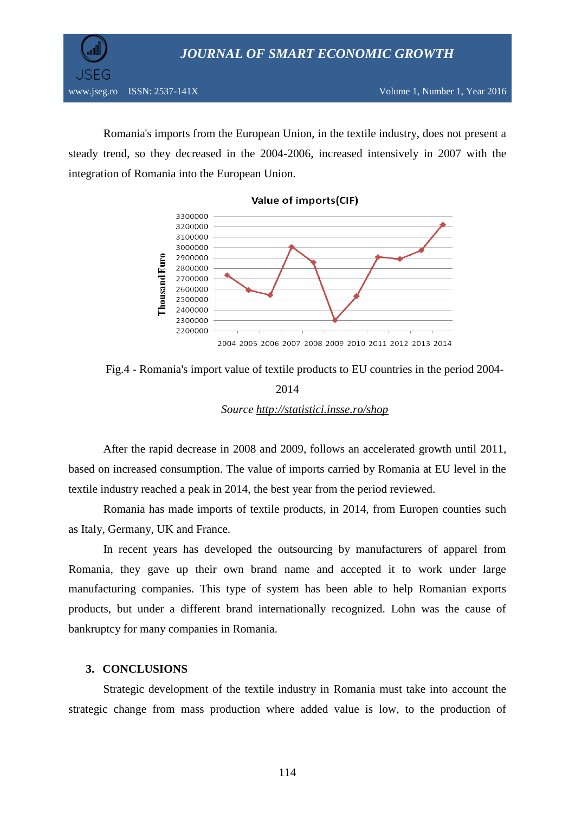

**JSEG** 

Romania's imports from the European Union, in the textile industry, does not present a steady trend, so they decreased in the 2004-2006, increased intensively in 2007 with the integration of Romania into the European Union.



#### Value of imports(CIF)

Fig.4 - Romania's import value of textile products to EU countries in the period 2004- 2014



After the rapid decrease in 2008 and 2009, follows an accelerated growth until 2011, based on increased consumption. The value of imports carried by Romania at EU level in the textile industry reached a peak in 2014, the best year from the period reviewed.

Romania has made imports of textile products, in 2014, from Europen counties such as Italy, Germany, UK and France.

In recent years has developed the outsourcing by manufacturers of apparel from Romania, they gave up their own brand name and accepted it to work under large manufacturing companies. This type of system has been able to help Romanian exports products, but under a different brand internationally recognized. Lohn was the cause of bankruptcy for many companies in Romania.

## **3. CONCLUSIONS**

Strategic development of the textile industry in Romania must take into account the strategic change from mass production where added value is low, to the production of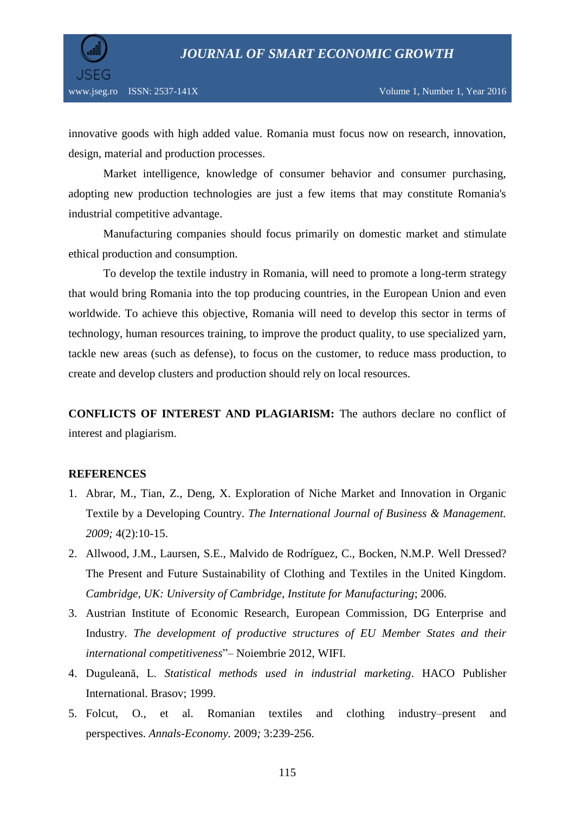

innovative goods with high added value. Romania must focus now on research, innovation, design, material and production processes.

Market intelligence, knowledge of consumer behavior and consumer purchasing, adopting new production technologies are just a few items that may constitute Romania's industrial competitive advantage.

Manufacturing companies should focus primarily on domestic market and stimulate ethical production and consumption.

To develop the textile industry in Romania, will need to promote a long-term strategy that would bring Romania into the top producing countries, in the European Union and even worldwide. To achieve this objective, Romania will need to develop this sector in terms of technology, human resources training, to improve the product quality, to use specialized yarn, tackle new areas (such as defense), to focus on the customer, to reduce mass production, to create and develop clusters and production should rely on local resources.

**CONFLICTS OF INTEREST AND PLAGIARISM:** The authors declare no conflict of interest and plagiarism.

## **REFERENCES**

- 1. Abrar, M., Tian, Z., Deng, X. Exploration of Niche Market and Innovation in Organic Textile by a Developing Country. *The International Journal of Business & Management. 2009;* 4(2):10-15.
- 2. Allwood, J.M., Laursen, S.E., Malvido de Rodríguez, C., Bocken, N.M.P. Well Dressed? The Present and Future Sustainability of Clothing and Textiles in the United Kingdom. *Cambridge, UK: University of Cambridge, Institute for Manufacturing*; 2006.
- 3. Austrian Institute of Economic Research, European Commission, DG Enterprise and Industry. *The development of productive structures of EU Member States and their international competitiveness*"– Noiembrie 2012, WIFI.
- 4. Duguleană, L. *Statistical methods used in industrial marketing*. HACO Publisher International. Brasov; 1999.
- 5. Folcut, O., et al. Romanian textiles and clothing industry–present and perspectives. *Annals-Economy.* 2009*;* 3:239-256.